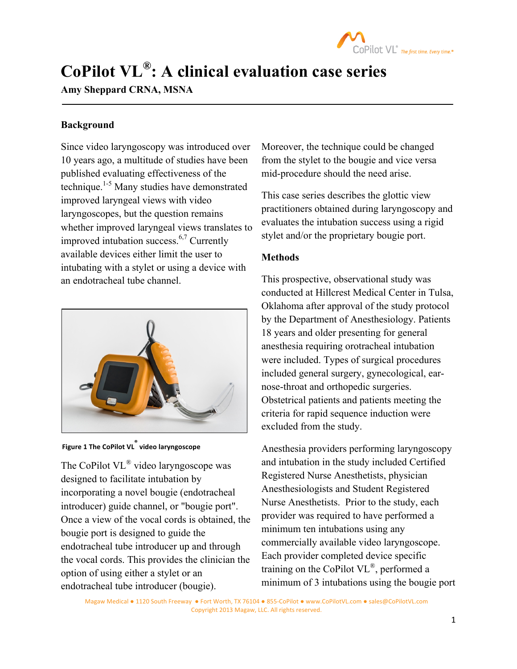

# **CoPilot VL®: A clinical evaluation case series**

## **Amy Sheppard CRNA, MSNA**

### **Background**

Since video laryngoscopy was introduced over 10 years ago, a multitude of studies have been published evaluating effectiveness of the technique.<sup>1-5</sup> Many studies have demonstrated improved laryngeal views with video laryngoscopes, but the question remains whether improved laryngeal views translates to improved intubation success.6,7 Currently available devices either limit the user to intubating with a stylet or using a device with an endotracheal tube channel.



**Figure 1 The CoPilot VL® video laryngoscope**

The CoPilot VL® video laryngoscope was designed to facilitate intubation by incorporating a novel bougie (endotracheal introducer) guide channel, or "bougie port". Once a view of the vocal cords is obtained, the bougie port is designed to guide the endotracheal tube introducer up and through the vocal cords. This provides the clinician the option of using either a stylet or an endotracheal tube introducer (bougie).

Moreover, the technique could be changed from the stylet to the bougie and vice versa mid-procedure should the need arise.

This case series describes the glottic view practitioners obtained during laryngoscopy and evaluates the intubation success using a rigid stylet and/or the proprietary bougie port.

#### **Methods**

This prospective, observational study was conducted at Hillcrest Medical Center in Tulsa, Oklahoma after approval of the study protocol by the Department of Anesthesiology. Patients 18 years and older presenting for general anesthesia requiring orotracheal intubation were included. Types of surgical procedures included general surgery, gynecological, earnose-throat and orthopedic surgeries. Obstetrical patients and patients meeting the criteria for rapid sequence induction were excluded from the study.

Anesthesia providers performing laryngoscopy and intubation in the study included Certified Registered Nurse Anesthetists, physician Anesthesiologists and Student Registered Nurse Anesthetists. Prior to the study, each provider was required to have performed a minimum ten intubations using any commercially available video laryngoscope. Each provider completed device specific training on the CoPilot VL®, performed a minimum of 3 intubations using the bougie port

Magaw Medical . 1120 South Freeway . Fort Worth, TX 76104 . 855-CoPilot . www.CoPilotVL.com . sales@CoPilotVL.com Copyright 2013 Magaw, LLC. All rights reserved.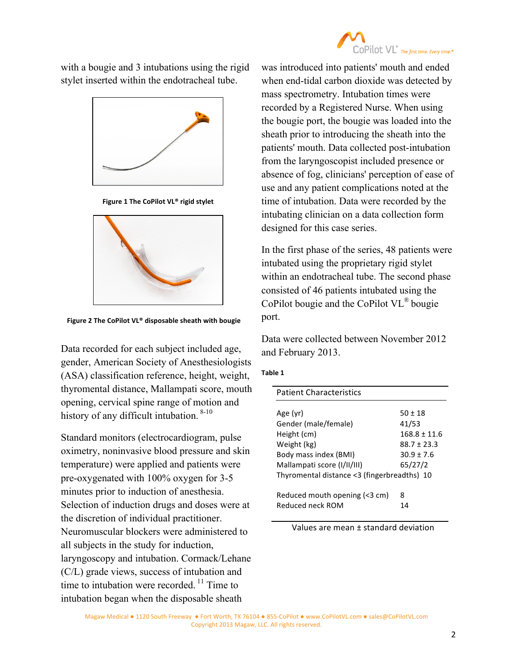

with a bougie and 3 intubations using the rigid stylet inserted within the endotracheal tube.



**Figure 1 The CoPilot VL® rigid stylet**



**Figure 2 The CoPilot VL® disposable sheath with bougie**

Data recorded for each subject included age, gender, American Society of Anesthesiologists (ASA) classification reference, height, weight, thyromental distance, Mallampati score, mouth opening, cervical spine range of motion and history of any difficult intubation. <sup>8-10</sup>

Standard monitors (electrocardiogram, pulse oximetry, noninvasive blood pressure and skin temperature) were applied and patients were pre-oxygenated with 100% oxygen for 3-5 minutes prior to induction of anesthesia. Selection of induction drugs and doses were at the discretion of individual practitioner. Neuromuscular blockers were administered to all subjects in the study for induction, laryngoscopy and intubation. Cormack/Lehane (C/L) grade views, success of intubation and time to intubation were recorded.<sup>11</sup> Time to intubation began when the disposable sheath

was introduced into patients' mouth and ended when end-tidal carbon dioxide was detected by mass spectrometry. Intubation times were recorded by a Registered Nurse. When using the bougie port, the bougie was loaded into the sheath prior to introducing the sheath into the patients' mouth. Data collected post-intubation from the laryngoscopist included presence or absence of fog, clinicians' perception of ease of use and any patient complications noted at the time of intubation. Data were recorded by the intubating clinician on a data collection form designed for this case series.

In the first phase of the series, 48 patients were intubated using the proprietary rigid stylet within an endotracheal tube. The second phase consisted of 46 patients intubated using the CoPilot bougie and the CoPilot VL® bougie port.

Data were collected between November 2012 and February 2013.

| ۰,<br>٠<br>۰. |
|---------------|
|---------------|

| <b>Patient Characteristics</b>                    |                  |  |
|---------------------------------------------------|------------------|--|
|                                                   |                  |  |
| Age (yr)                                          | $50 + 18$        |  |
| Gender (male/female)                              | 41/53            |  |
| Height (cm)                                       | $168.8 \pm 11.6$ |  |
| Weight (kg)                                       | $88.7 \pm 23.3$  |  |
| Body mass index (BMI)                             | $30.9 + 7.6$     |  |
| Mallampati score (I/II/III)                       | 65/27/2          |  |
| Thyromental distance <3 (fingerbreadths) 10       |                  |  |
|                                                   |                  |  |
|                                                   |                  |  |
|                                                   |                  |  |
| Reduced mouth opening (<3 cm)<br>Reduced neck ROM | 8<br>14          |  |

Values are mean  $\pm$  standard deviation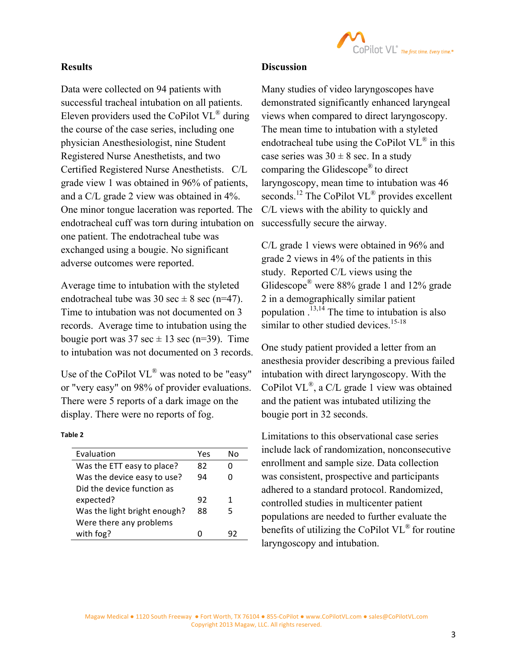

#### **Results**

Data were collected on 94 patients with successful tracheal intubation on all patients. Eleven providers used the CoPilot  $VL^{\otimes}$  during the course of the case series, including one physician Anesthesiologist, nine Student Registered Nurse Anesthetists, and two Certified Registered Nurse Anesthetists. C/L grade view 1 was obtained in 96% of patients, and a C/L grade 2 view was obtained in 4%. One minor tongue laceration was reported. The endotracheal cuff was torn during intubation on one patient. The endotracheal tube was exchanged using a bougie. No significant adverse outcomes were reported.

Average time to intubation with the styleted endotracheal tube was 30 sec  $\pm$  8 sec (n=47). Time to intubation was not documented on 3 records. Average time to intubation using the bougie port was  $37 \text{ sec} \pm 13 \text{ sec}$  (n=39). Time to intubation was not documented on 3 records.

Use of the CoPilot VL<sup>®</sup> was noted to be "easy" or "very easy" on 98% of provider evaluations. There were 5 reports of a dark image on the display. There were no reports of fog.

#### **Table 2**

| Evaluation                   | Yes | N٥ |
|------------------------------|-----|----|
| Was the ETT easy to place?   | 82  |    |
| Was the device easy to use?  | 94  |    |
| Did the device function as   |     |    |
| expected?                    | 92  | 1  |
| Was the light bright enough? | 88  | 5  |
| Were there any problems      |     |    |
| with fog?                    |     |    |
|                              |     |    |

#### **Discussion**

Many studies of video laryngoscopes have demonstrated significantly enhanced laryngeal views when compared to direct laryngoscopy. The mean time to intubation with a styleted endotracheal tube using the CoPilot  $VL^{\otimes}$  in this case series was  $30 \pm 8$  sec. In a study comparing the Glidescope® to direct laryngoscopy, mean time to intubation was 46 seconds.<sup>12</sup> The CoPilot VL<sup>®</sup> provides excellent C/L views with the ability to quickly and successfully secure the airway.

C/L grade 1 views were obtained in 96% and grade 2 views in 4% of the patients in this study. Reported C/L views using the Glidescope<sup>®</sup> were 88% grade 1 and 12% grade 2 in a demographically similar patient population . 13,14 The time to intubation is also similar to other studied devices.<sup>15-18</sup>

One study patient provided a letter from an anesthesia provider describing a previous failed intubation with direct laryngoscopy. With the CoPilot VL<sup>®</sup>, a C/L grade 1 view was obtained and the patient was intubated utilizing the bougie port in 32 seconds.

Limitations to this observational case series include lack of randomization, nonconsecutive enrollment and sample size. Data collection was consistent, prospective and participants adhered to a standard protocol. Randomized, controlled studies in multicenter patient populations are needed to further evaluate the benefits of utilizing the CoPilot VL® for routine laryngoscopy and intubation.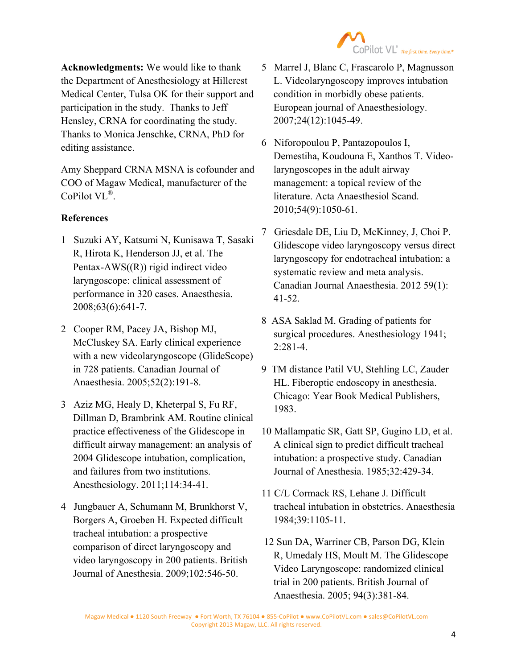

**Acknowledgments:** We would like to thank the Department of Anesthesiology at Hillcrest Medical Center, Tulsa OK for their support and participation in the study. Thanks to Jeff Hensley, CRNA for coordinating the study. Thanks to Monica Jenschke, CRNA, PhD for editing assistance.

Amy Sheppard CRNA MSNA is cofounder and COO of Magaw Medical, manufacturer of the CoPilot VL®.

### **References**

- 1 Suzuki AY, Katsumi N, Kunisawa T, Sasaki R, Hirota K, Henderson JJ, et al. The Pentax-AWS((R)) rigid indirect video laryngoscope: clinical assessment of performance in 320 cases. Anaesthesia. 2008;63(6):641-7.
- 2 Cooper RM, Pacey JA, Bishop MJ, McCluskey SA. Early clinical experience with a new videolaryngoscope (GlideScope) in 728 patients. Canadian Journal of Anaesthesia. 2005;52(2):191-8.
- 3 Aziz MG, Healy D, Kheterpal S, Fu RF, Dillman D, Brambrink AM. Routine clinical practice effectiveness of the Glidescope in difficult airway management: an analysis of 2004 Glidescope intubation, complication, and failures from two institutions. Anesthesiology. 2011;114:34-41.
- 4 Jungbauer A, Schumann M, Brunkhorst V, Borgers A, Groeben H. Expected difficult tracheal intubation: a prospective comparison of direct laryngoscopy and video laryngoscopy in 200 patients. British Journal of Anesthesia. 2009;102:546-50.
- 5 Marrel J, Blanc C, Frascarolo P, Magnusson L. Videolaryngoscopy improves intubation condition in morbidly obese patients. European journal of Anaesthesiology. 2007;24(12):1045-49.
- 6 Niforopoulou P, Pantazopoulos I, Demestiha, Koudouna E, Xanthos T. Videolaryngoscopes in the adult airway management: a topical review of the literature. Acta Anaesthesiol Scand. 2010;54(9):1050-61.
- 7 Griesdale DE, Liu D, McKinney, J, Choi P. Glidescope video laryngoscopy versus direct laryngoscopy for endotracheal intubation: a systematic review and meta analysis. Canadian Journal Anaesthesia. 2012 59(1): 41-52.
- 8 ASA Saklad M. Grading of patients for surgical procedures. Anesthesiology 1941;  $2:281-4.$
- 9 TM distance Patil VU, Stehling LC, Zauder HL. Fiberoptic endoscopy in anesthesia. Chicago: Year Book Medical Publishers, 1983.
- 10 Mallampatic SR, Gatt SP, Gugino LD, et al. A clinical sign to predict difficult tracheal intubation: a prospective study. Canadian Journal of Anesthesia. 1985;32:429-34.
- 11 C/L Cormack RS, Lehane J. Difficult tracheal intubation in obstetrics. Anaesthesia 1984;39:1105-11.
- 12 Sun DA, Warriner CB, Parson DG, Klein R, Umedaly HS, Moult M. The Glidescope Video Laryngoscope: randomized clinical trial in 200 patients. British Journal of Anaesthesia. 2005; 94(3):381-84.

Magaw Medical . 1120 South Freeway . Fort Worth, TX 76104 . 855-CoPilot . www.CoPilotVL.com . sales@CoPilotVL.com Copyright 2013 Magaw, LLC. All rights reserved.